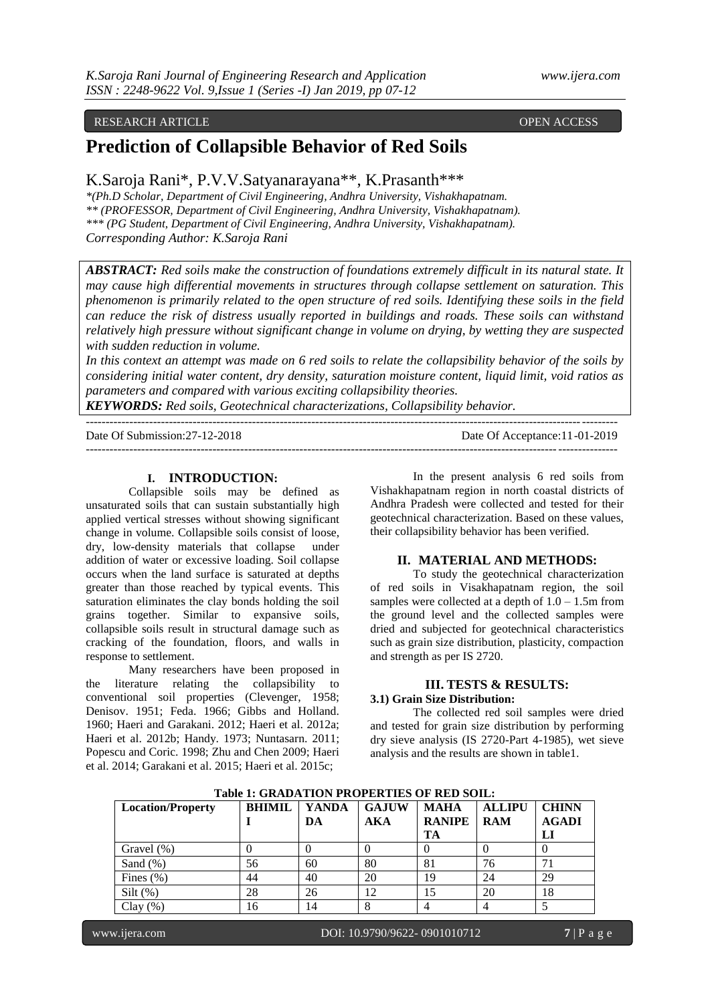## RESEARCH ARTICLE **CONSERVERS** OPEN ACCESS OPEN ACCESS

# **Prediction of Collapsible Behavior of Red Soils**

## K.Saroja Rani\*, P.V.V.Satyanarayana\*\*, K.Prasanth\*\*\*

*\*(Ph.D Scholar, Department of Civil Engineering, Andhra University, Vishakhapatnam. \*\* (PROFESSOR, Department of Civil Engineering, Andhra University, Vishakhapatnam). \*\*\* (PG Student, Department of Civil Engineering, Andhra University, Vishakhapatnam). Corresponding Author: K.Saroja Rani*

*ABSTRACT: Red soils make the construction of foundations extremely difficult in its natural state. It may cause high differential movements in structures through collapse settlement on saturation. This phenomenon is primarily related to the open structure of red soils. Identifying these soils in the field can reduce the risk of distress usually reported in buildings and roads. These soils can withstand relatively high pressure without significant change in volume on drying, by wetting they are suspected with sudden reduction in volume.*

*In this context an attempt was made on 6 red soils to relate the collapsibility behavior of the soils by considering initial water content, dry density, saturation moisture content, liquid limit, void ratios as parameters and compared with various exciting collapsibility theories.*

*KEYWORDS: Red soils, Geotechnical characterizations, Collapsibility behavior.* --------------------------------------------------------------------------------------------------------------------------------------

Date Of Submission:27-12-2018 Date Of Acceptance:11-01-2019 --------------------------------------------------------------------------------------------------------------------------------------

#### **I. INTRODUCTION:**

Collapsible soils may be defined as unsaturated soils that can sustain substantially high applied vertical stresses without showing significant change in volume. Collapsible soils consist of loose, dry, low-density materials that collapse under addition of water or excessive loading. Soil collapse occurs when the land surface is saturated at depths greater than those reached by typical events. This saturation eliminates the clay bonds holding the soil grains together. Similar to expansive soils, collapsible soils result in structural damage such as cracking of the foundation, floors, and walls in response to settlement.

Many researchers have been proposed in the literature relating the collapsibility to conventional soil properties (Clevenger, 1958; Denisov. 1951; Feda. 1966; Gibbs and Holland. 1960; Haeri and Garakani. 2012; Haeri et al. 2012a; Haeri et al. 2012b; Handy. 1973; Nuntasarn. 2011; Popescu and Coric. 1998; Zhu and Chen 2009; Haeri et al. 2014; Garakani et al. 2015; Haeri et al. 2015c;

In the present analysis 6 red soils from Vishakhapatnam region in north coastal districts of Andhra Pradesh were collected and tested for their geotechnical characterization. Based on these values, their collapsibility behavior has been verified.

#### **II. MATERIAL AND METHODS:**

To study the geotechnical characterization of red soils in Visakhapatnam region, the soil samples were collected at a depth of  $1.0 - 1.5$ m from the ground level and the collected samples were dried and subjected for geotechnical characteristics such as grain size distribution, plasticity, compaction and strength as per IS 2720.

## **III. TESTS & RESULTS:**

## **3.1) Grain Size Distribution:**

The collected red soil samples were dried and tested for grain size distribution by performing dry sieve analysis (IS 2720-Part 4-1985), wet sieve analysis and the results are shown in table1.

| <b>Location/Property</b> | <b>BHIMIL</b> | <b>YANDA</b> | <b>GAJUW</b> | <b>MAHA</b>   | <b>ALLIPU</b> | <b>CHINN</b> |
|--------------------------|---------------|--------------|--------------|---------------|---------------|--------------|
|                          |               | DA           | AKA          | <b>RANIPE</b> | <b>RAM</b>    | <b>AGADI</b> |
|                          |               |              |              | TA            |               | LI           |
| Gravel (%)               |               |              |              |               |               |              |
| Sand $(\%)$              | 56            | 60           | 80           | 81            | 76            |              |
| Fines $(\% )$            | 44            | 40           | 20           | 19            | 24            | 29           |
| $Silt$ (%)               | 28            | 26           | 12           | 15            | 20            | 18           |
| Clay(%)                  | 16            |              |              |               |               |              |

**Table 1: GRADATION PROPERTIES OF RED SOIL:**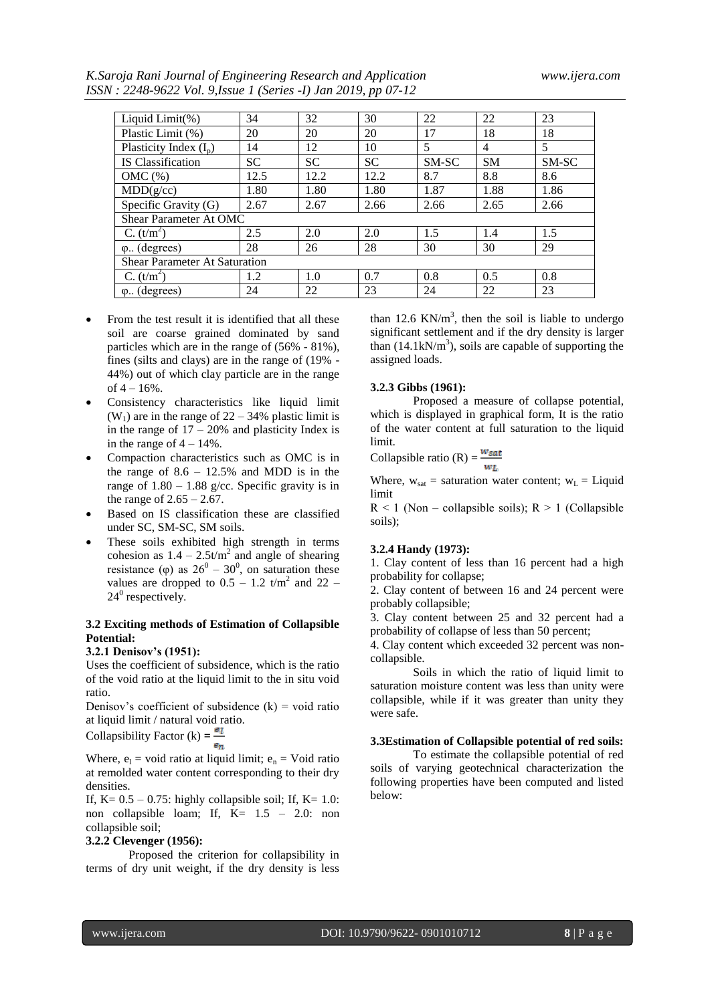*K.Saroja Rani Journal of Engineering Research and Application www.ijera.com ISSN : 2248-9622 Vol. 9,Issue 1 (Series -I) Jan 2019, pp 07-12*

| Liquid Limit(%)                      | 34        | 32        | 30        | 22    | 22        | 23    |  |  |
|--------------------------------------|-----------|-----------|-----------|-------|-----------|-------|--|--|
| Plastic Limit (%)                    | 20        | 20        | 20        | 17    | 18        | 18    |  |  |
| Plasticity Index $(I_n)$             | 14        | 12        | 10        | 5     | 4         | 5     |  |  |
| <b>IS</b> Classification             | <b>SC</b> | <b>SC</b> | <b>SC</b> | SM-SC | <b>SM</b> | SM-SC |  |  |
| $OMC(\%)$                            | 12.5      | 12.2      | 12.2      | 8.7   | 8.8       | 8.6   |  |  |
| MDD(g/cc)                            | 1.80      | 1.80      | 1.80      | 1.87  | 1.88      | 1.86  |  |  |
| Specific Gravity (G)                 | 2.67      | 2.67      | 2.66      | 2.66  | 2.65      | 2.66  |  |  |
| Shear Parameter At OMC               |           |           |           |       |           |       |  |  |
| $C. (t/m^2)$                         | 2.5       | 2.0       | 2.0       | 1.5   | 1.4       | 1.5   |  |  |
| $\varphi$ . (degrees)                | 28        | 26        | 28        | 30    | 30        | 29    |  |  |
| <b>Shear Parameter At Saturation</b> |           |           |           |       |           |       |  |  |
| $C. (t/m^2)$                         | 1.2       | 1.0       | 0.7       | 0.8   | 0.5       | 0.8   |  |  |
| $\varphi$ . (degrees)                | 24        | 22        | 23        | 24    | 22        | 23    |  |  |

- From the test result it is identified that all these soil are coarse grained dominated by sand particles which are in the range of (56% - 81%), fines (silts and clays) are in the range of (19% - 44%) out of which clay particle are in the range of  $4 - 16%$ .
- Consistency characteristics like liquid limit  $(W_1)$  are in the range of 22 – 34% plastic limit is in the range of  $17 - 20\%$  and plasticity Index is in the range of  $4 - 14\%$ .
- Compaction characteristics such as OMC is in the range of  $8.6 - 12.5\%$  and MDD is in the range of  $1.80 - 1.88$  g/cc. Specific gravity is in the range of  $2.65 - 2.67$ .
- Based on IS classification these are classified under SC, SM-SC, SM soils.
- These soils exhibited high strength in terms cohesion as  $1.4 - 2.5t/m^2$  and angle of shearing resistance ( $\varphi$ ) as  $26^{\circ} - 30^{\circ}$ , on saturation these values are dropped to  $0.5 - 1.2$  t/m<sup>2</sup> and 22 –  $24^0$  respectively.

### **3.2 Exciting methods of Estimation of Collapsible Potential:**

#### **3.2.1 Denisov's (1951):**

Uses the coefficient of subsidence, which is the ratio of the void ratio at the liquid limit to the in situ void ratio.

Denisov's coefficient of subsidence  $(k)$  = void ratio at liquid limit / natural void ratio.

Collapsibility Factor (k) =  $\frac{e_l}{f}$ 

Where,  $e_1$  = void ratio at liquid limit;  $e_n$  = Void ratio at remolded water content corresponding to their dry densities.

If,  $K = 0.5 - 0.75$ : highly collapsible soil; If,  $K = 1.0$ : non collapsible loam; If, K= 1.5 – 2.0: non collapsible soil;

#### **3.2.2 Clevenger (1956):**

Proposed the criterion for collapsibility in terms of dry unit weight, if the dry density is less

than 12.6 KN/ $m<sup>3</sup>$ , then the soil is liable to undergo significant settlement and if the dry density is larger than  $(14.1 \text{kN/m}^3)$ , soils are capable of supporting the assigned loads.

#### **3.2.3 Gibbs (1961):**

Proposed a measure of collapse potential, which is displayed in graphical form, It is the ratio of the water content at full saturation to the liquid limit.

Collapsible ratio (R) =  $\frac{w_{sat}}{w_L}$ 

Where,  $w_{sat}$  = saturation water content;  $w_L$  = Liquid limit

 $R < 1$  (Non – collapsible soils);  $R > 1$  (Collapsible soils);

#### **3.2.4 Handy (1973):**

1. Clay content of less than 16 percent had a high probability for collapse;

2. Clay content of between 16 and 24 percent were probably collapsible;

3. Clay content between 25 and 32 percent had a probability of collapse of less than 50 percent;

4. Clay content which exceeded 32 percent was noncollapsible.

Soils in which the ratio of liquid limit to saturation moisture content was less than unity were collapsible, while if it was greater than unity they were safe.

#### **3.3Estimation of Collapsible potential of red soils:**

To estimate the collapsible potential of red soils of varying geotechnical characterization the following properties have been computed and listed below: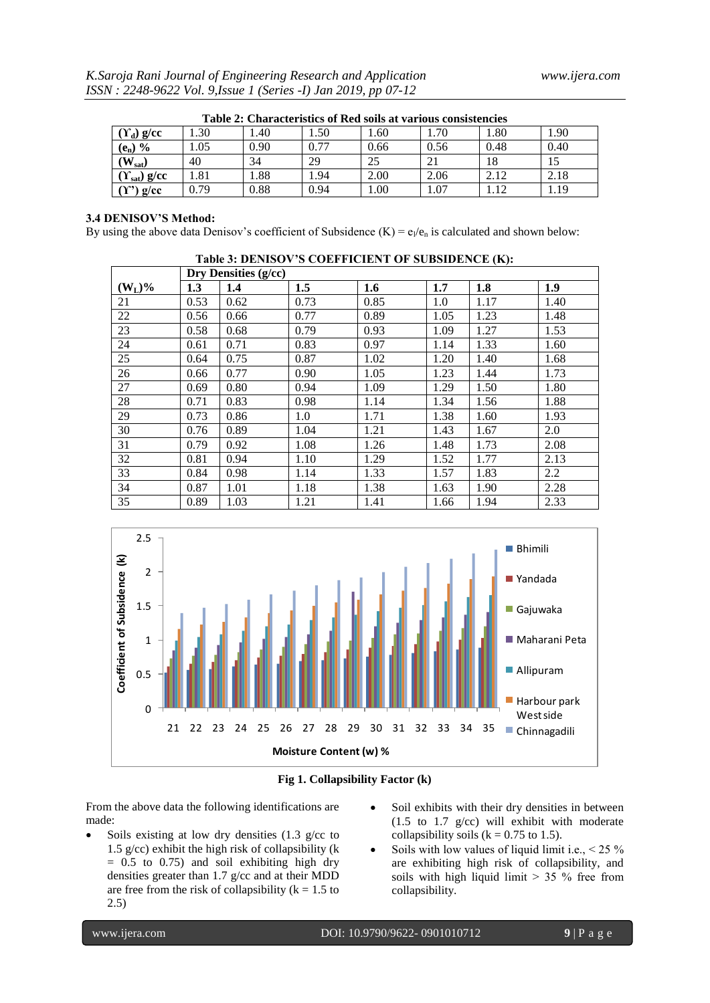| Table 2: Characteristics of Red soils at various consistencies |      |      |       |      |      |      |      |  |  |
|----------------------------------------------------------------|------|------|-------|------|------|------|------|--|--|
| $(\Upsilon_d)$ g/cc                                            | .30  | .40  | 50    | 1.60 | 1.70 | 1.80 | 1.90 |  |  |
| $(e_n)$ %                                                      | 1.05 | 0.90 | 0.77  | 0.66 | 0.56 | 0.48 | 0.40 |  |  |
| $W_{sat}$                                                      | 40   | 34   | 29    | 25   |      | 18   |      |  |  |
| $(Y_{sat})$ g/cc                                               | l.81 | .88  | . .94 | 2.00 | 2.06 | 2.12 | 2.18 |  |  |
| $g$ /cc                                                        | 0.79 | 0.88 | 0.94  | .00. | .07  | .12  | 1.19 |  |  |

| Table 2: Characteristics of Red soils at various consistencies |  |  |
|----------------------------------------------------------------|--|--|
|                                                                |  |  |

## **3.4 DENISOV'S Method:**

By using the above data Denisov's coefficient of Subsidence  $(K) = e_1/e_n$  is calculated and shown below:

| $\mathbf{r}$ and $\mathbf{v}$ : $\mathbf{p}$ entropy to contribute the contribution $\mathbf{u}$ . |                      |      |      |      |      |      |      |  |  |  |  |
|----------------------------------------------------------------------------------------------------|----------------------|------|------|------|------|------|------|--|--|--|--|
|                                                                                                    | Dry Densities (g/cc) |      |      |      |      |      |      |  |  |  |  |
| $(W_L)$ %                                                                                          | 1.3                  | 1.4  | 1.5  | 1.6  | 1.7  | 1.8  | 1.9  |  |  |  |  |
| 21                                                                                                 | 0.53                 | 0.62 | 0.73 | 0.85 | 1.0  | 1.17 | 1.40 |  |  |  |  |
| 22                                                                                                 | 0.56                 | 0.66 | 0.77 | 0.89 | 1.05 | 1.23 | 1.48 |  |  |  |  |
| 23                                                                                                 | 0.58                 | 0.68 | 0.79 | 0.93 | 1.09 | 1.27 | 1.53 |  |  |  |  |
| 24                                                                                                 | 0.61                 | 0.71 | 0.83 | 0.97 | 1.14 | 1.33 | 1.60 |  |  |  |  |
| 25                                                                                                 | 0.64                 | 0.75 | 0.87 | 1.02 | 1.20 | 1.40 | 1.68 |  |  |  |  |
| 26                                                                                                 | 0.66                 | 0.77 | 0.90 | 1.05 | 1.23 | 1.44 | 1.73 |  |  |  |  |
| 27                                                                                                 | 0.69                 | 0.80 | 0.94 | 1.09 | 1.29 | 1.50 | 1.80 |  |  |  |  |
| 28                                                                                                 | 0.71                 | 0.83 | 0.98 | 1.14 | 1.34 | 1.56 | 1.88 |  |  |  |  |
| 29                                                                                                 | 0.73                 | 0.86 | 1.0  | 1.71 | 1.38 | 1.60 | 1.93 |  |  |  |  |
| 30                                                                                                 | 0.76                 | 0.89 | 1.04 | 1.21 | 1.43 | 1.67 | 2.0  |  |  |  |  |
| 31                                                                                                 | 0.79                 | 0.92 | 1.08 | 1.26 | 1.48 | 1.73 | 2.08 |  |  |  |  |
| 32                                                                                                 | 0.81                 | 0.94 | 1.10 | 1.29 | 1.52 | 1.77 | 2.13 |  |  |  |  |
| 33                                                                                                 | 0.84                 | 0.98 | 1.14 | 1.33 | 1.57 | 1.83 | 2.2  |  |  |  |  |
| 34                                                                                                 | 0.87                 | 1.01 | 1.18 | 1.38 | 1.63 | 1.90 | 2.28 |  |  |  |  |
| 35                                                                                                 | 0.89                 | 1.03 | 1.21 | 1.41 | 1.66 | 1.94 | 2.33 |  |  |  |  |







From the above data the following identifications are made:

- Soils existing at low dry densities (1.3 g/cc to 1.5 g/cc) exhibit the high risk of collapsibility (k  $= 0.5$  to 0.75) and soil exhibiting high dry densities greater than 1.7 g/cc and at their MDD are free from the risk of collapsibility ( $k = 1.5$  to 2.5)
- Soil exhibits with their dry densities in between (1.5 to 1.7 g/cc) will exhibit with moderate collapsibility soils ( $k = 0.75$  to 1.5).
- Soils with low values of liquid limit i.e.,  $\leq 25\%$ are exhibiting high risk of collapsibility, and soils with high liquid limit  $> 35 %$  free from collapsibility.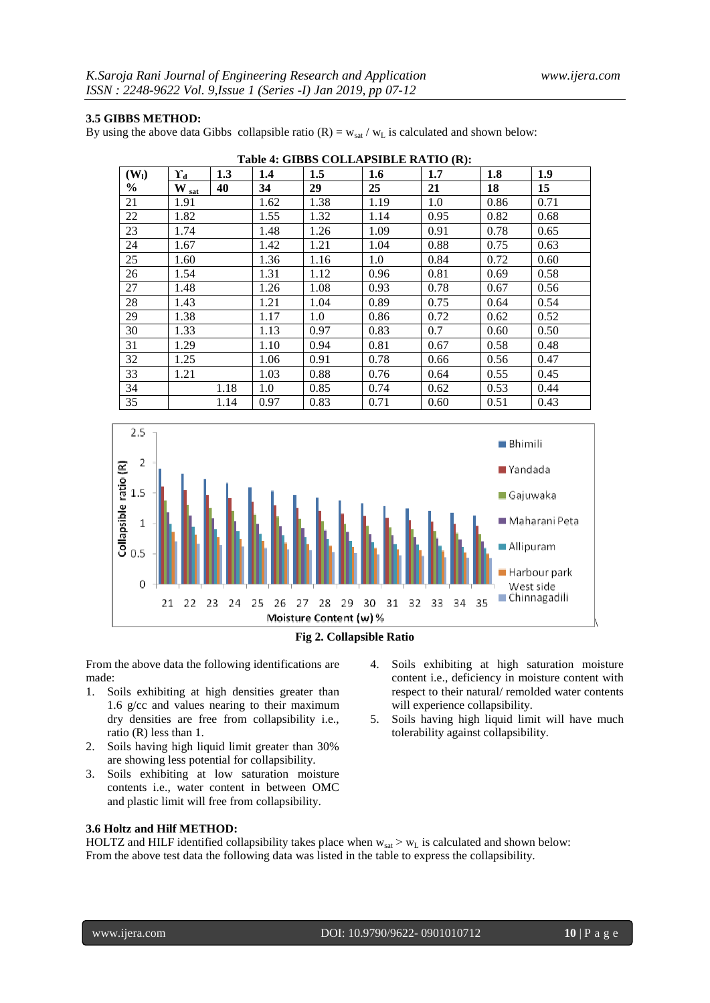## **3.5 GIBBS METHOD:**

By using the above data Gibbs collapsible ratio  $(R) = w_{sat} / w_L$  is calculated and shown below:

| Table 4: GIDDS COLLAPSIDLE RATIO (R): |                       |      |      |      |      |      |      |      |  |
|---------------------------------------|-----------------------|------|------|------|------|------|------|------|--|
| (W <sub>l</sub> )                     | $\Upsilon_d$          | 1.3  | 1.4  | 1.5  | 1.6  | 1.7  | 1.8  | 1.9  |  |
| $\frac{0}{0}$                         | $\rm{W}_{\,\rm{sat}}$ | 40   | 34   | 29   | 25   | 21   | 18   | 15   |  |
| 21                                    | 1.91                  |      | 1.62 | 1.38 | 1.19 | 1.0  | 0.86 | 0.71 |  |
| 22                                    | 1.82                  |      | 1.55 | 1.32 | 1.14 | 0.95 | 0.82 | 0.68 |  |
| 23                                    | 1.74                  |      | 1.48 | 1.26 | 1.09 | 0.91 | 0.78 | 0.65 |  |
| 24                                    | 1.67                  |      | 1.42 | 1.21 | 1.04 | 0.88 | 0.75 | 0.63 |  |
| 25                                    | 1.60                  |      | 1.36 | 1.16 | 1.0  | 0.84 | 0.72 | 0.60 |  |
| 26                                    | 1.54                  |      | 1.31 | 1.12 | 0.96 | 0.81 | 0.69 | 0.58 |  |
| 27                                    | 1.48                  |      | 1.26 | 1.08 | 0.93 | 0.78 | 0.67 | 0.56 |  |
| 28                                    | 1.43                  |      | 1.21 | 1.04 | 0.89 | 0.75 | 0.64 | 0.54 |  |
| 29                                    | 1.38                  |      | 1.17 | 1.0  | 0.86 | 0.72 | 0.62 | 0.52 |  |
| 30                                    | 1.33                  |      | 1.13 | 0.97 | 0.83 | 0.7  | 0.60 | 0.50 |  |
| 31                                    | 1.29                  |      | 1.10 | 0.94 | 0.81 | 0.67 | 0.58 | 0.48 |  |
| 32                                    | 1.25                  |      | 1.06 | 0.91 | 0.78 | 0.66 | 0.56 | 0.47 |  |
| 33                                    | 1.21                  |      | 1.03 | 0.88 | 0.76 | 0.64 | 0.55 | 0.45 |  |
| 34                                    |                       | 1.18 | 1.0  | 0.85 | 0.74 | 0.62 | 0.53 | 0.44 |  |
| 35                                    |                       | 1.14 | 0.97 | 0.83 | 0.71 | 0.60 | 0.51 | 0.43 |  |







From the above data the following identifications are made:

- 1. Soils exhibiting at high densities greater than 1.6 g/cc and values nearing to their maximum dry densities are free from collapsibility i.e., ratio (R) less than 1.
- 2. Soils having high liquid limit greater than 30% are showing less potential for collapsibility.
- 3. Soils exhibiting at low saturation moisture contents i.e., water content in between OMC and plastic limit will free from collapsibility.

#### **3.6 Holtz and Hilf METHOD:**

4. Soils exhibiting at high saturation moisture content i.e., deficiency in moisture content with respect to their natural/ remolded water contents will experience collapsibility.

5. Soils having high liquid limit will have much tolerability against collapsibility.

HOLTZ and HILF identified collapsibility takes place when  $w_{sat} > w_L$  is calculated and shown below: From the above test data the following data was listed in the table to express the collapsibility.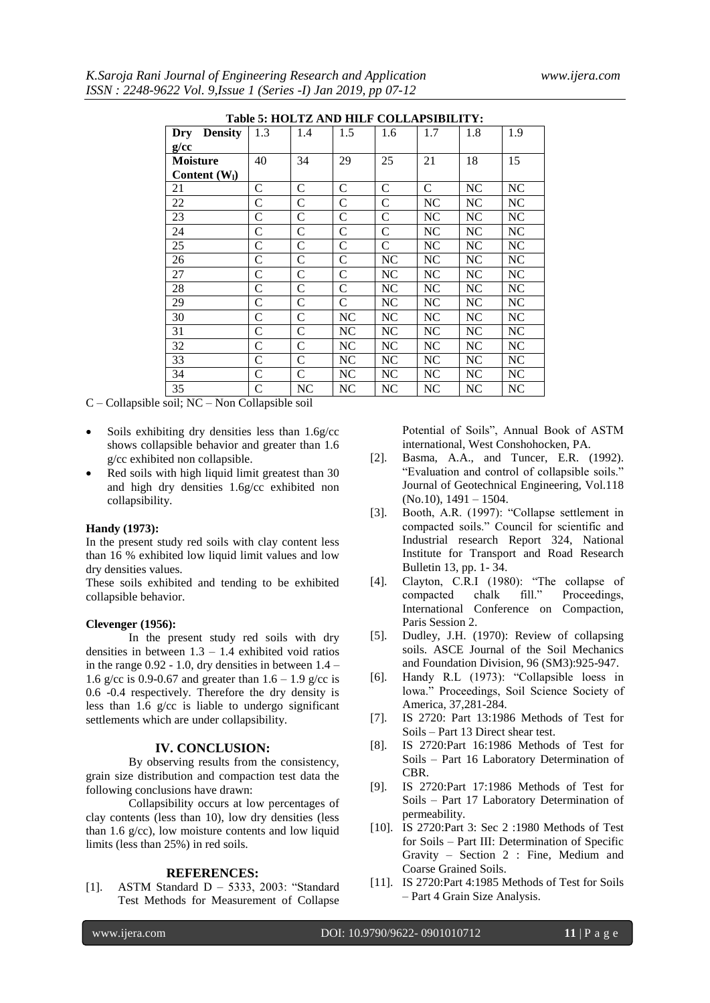|                               | Table 5: HOLTZ AND HILF COLLAPSIBILITY: |               |               |               |              |      |          |
|-------------------------------|-----------------------------------------|---------------|---------------|---------------|--------------|------|----------|
| <b>Density</b><br>Dry<br>g/cc | 1.3                                     | 1.4           | 1.5           | 1.6           | 1.7          | 1.8  | 1.9      |
| <b>Moisture</b>               | 40                                      | 34            | 29            | 25            | 21           | 18   | 15       |
| Content $(W1)$                |                                         |               |               |               |              |      |          |
| 21                            | C                                       | $\mathsf{C}$  | $\mathbf C$   | $\mathsf{C}$  | $\mathsf{C}$ | NC   | NC       |
| 22                            | $\mathbf C$                             | $\mathsf{C}$  | $\mathcal{C}$ | $\mathsf{C}$  | NC           | NC   | NC       |
| 23                            | C                                       | C             | C             | C             | NC           | NC   | NC       |
| 24                            | C                                       | C             | C             | $\mathcal{C}$ | NC           | NC   | NC       |
| 25                            | $\mathsf{C}$                            | $\mathsf{C}$  | $\mathsf{C}$  | $\mathsf{C}$  | NC           | NC   | NC       |
| 26                            | C                                       | C             | $\mathsf{C}$  | NC            | NC           | $NC$ | NC       |
| 27                            | $\mathsf{C}$                            | C             | $\mathbf C$   | NC            | NC           | NC   | $\rm NC$ |
| 28                            | C                                       | $\mathcal{C}$ | $\mathsf{C}$  | NC            | NC           | NC   | NC       |
| 29                            | C                                       | C             | $\mathcal{C}$ | NC            | NC           | NC   | NC       |
| 30                            | C                                       | $\mathcal{C}$ | NC            | NC            | NC           | NC   | NC       |
| 31                            | C                                       | $\mathcal{C}$ | NC            | NC            | NC           | NC   | NC       |
| 32                            | C                                       | C             | NC            | NC            | NC           | NC   | NC       |
| 33                            | C                                       | C             | NC            | NC            | NC           | NC   | NC       |
| 34                            | C                                       | $\mathsf{C}$  | NC            | NC            | NC           | NC   | NC       |
| 35                            | C                                       | NC            | NC            | NC            | NC           | NC   | NC       |
| <b>XT</b><br>$\cdots$         | <br>$\sim$ 11                           |               |               |               |              |      |          |

**TABLE 5: HOLTZ AND HILF COLLAPSIBILITY** 

C – Collapsible soil; NC – Non Collapsible soil

- Soils exhibiting dry densities less than 1.6g/cc shows collapsible behavior and greater than 1.6 g/cc exhibited non collapsible.
- Red soils with high liquid limit greatest than 30 and high dry densities 1.6g/cc exhibited non collapsibility.

#### **Handy (1973):**

In the present study red soils with clay content less than 16 % exhibited low liquid limit values and low dry densities values.

These soils exhibited and tending to be exhibited collapsible behavior.

#### **Clevenger (1956):**

In the present study red soils with dry densities in between  $1.3 - 1.4$  exhibited void ratios in the range  $0.92 - 1.0$ , dry densities in between  $1.4 -$ 1.6 g/cc is 0.9-0.67 and greater than  $1.6 - 1.9$  g/cc is 0.6 -0.4 respectively. Therefore the dry density is less than 1.6 g/cc is liable to undergo significant settlements which are under collapsibility.

#### **IV. CONCLUSION:**

By observing results from the consistency, grain size distribution and compaction test data the following conclusions have drawn:

Collapsibility occurs at low percentages of clay contents (less than 10), low dry densities (less than 1.6  $g$ /cc), low moisture contents and low liquid limits (less than 25%) in red soils.

#### **REFERENCES:**

[1]. ASTM Standard D – 5333, 2003: "Standard Test Methods for Measurement of Collapse Potential of Soils", Annual Book of ASTM international, West Conshohocken, PA.

- [2]. Basma, A.A., and Tuncer, E.R. (1992). "Evaluation and control of collapsible soils." Journal of Geotechnical Engineering, Vol.118 (No.10), 1491 – 1504.
- [3]. Booth, A.R. (1997): "Collapse settlement in compacted soils." Council for scientific and Industrial research Report 324, National Institute for Transport and Road Research Bulletin 13, pp. 1- 34.
- [4]. Clayton, C.R.I (1980): "The collapse of compacted chalk fill." Proceedings, International Conference on Compaction, Paris Session 2.
- [5]. Dudley, J.H. (1970): Review of collapsing soils. ASCE Journal of the Soil Mechanics and Foundation Division, 96 (SM3):925-947.
- [6]. Handy R.L (1973): "Collapsible loess in lowa." Proceedings, Soil Science Society of America, 37,281-284.
- [7]. IS 2720: Part 13:1986 Methods of Test for Soils – Part 13 Direct shear test.
- [8]. IS 2720:Part 16:1986 Methods of Test for Soils – Part 16 Laboratory Determination of CBR.
- [9]. IS 2720:Part 17:1986 Methods of Test for Soils – Part 17 Laboratory Determination of permeability.
- [10]. IS 2720:Part 3: Sec 2 :1980 Methods of Test for Soils – Part III: Determination of Specific Gravity – Section 2 : Fine, Medium and Coarse Grained Soils.
- [11]. IS 2720:Part 4:1985 Methods of Test for Soils – Part 4 Grain Size Analysis.